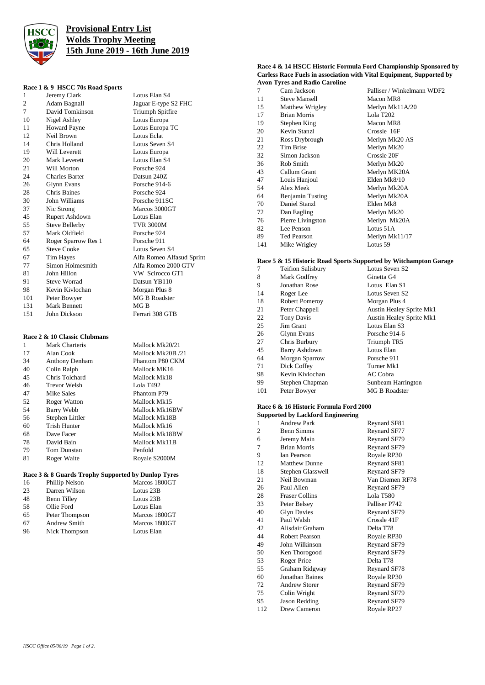

# **Provisional Entry List Wolds Trophy Meeting 15th June 2019 - 16th June 2019**

Lotus Elan S4 Jaguar E-type S2 FHC Triumph Spitfire 10 Lotus Europa Lotus Europa TC Lotus Eclat Lotus Seven S4 Lotus Europa Lotus Elan S4 Porsche 924 Datsun 240Z Porsche 914-6 Porsche 924 Porsche 911SC Marcos 3000GT Lotus Elan TVR 3000M Porsche 924 Porsche 911 Lotus Seven S4

Alfa Romeo Alfasud Sprint Alfa Romeo 2000 GTV VW Scirocco GT1 Datsun YB110 Morgan Plus 8 MG B Roadster  $MG B$ Ferrari 308 GTB

### **Race 1 & 9 HSCC 70s Road Sports**

|                | Kate 1 & 9 THSUU 708 K0au Sp0118 |
|----------------|----------------------------------|
| 1              | Jeremy Clark                     |
| 2              | Adam Bagnall                     |
| $\overline{7}$ | David Tomkinson                  |
| 10             | Nigel Ashley                     |
| 11             | <b>Howard Payne</b>              |
| 12             | Neil Brown                       |
| 14             | Chris Holland                    |
| 19             | Will Leverett                    |
| 20             | <b>Mark Leverett</b>             |
| 21             | Will Morton                      |
| 24             | <b>Charles Barter</b>            |
| 26             | Glynn Evans                      |
| 28             | <b>Chris Baines</b>              |
| 30             | John Williams                    |
| 37             | Nic Strong                       |
| 45             | Rupert Ashdown                   |
| 55             | <b>Steve Bellerby</b>            |
| 57             | Mark Oldfield                    |
| 64             | Roger Sparrow Res 1              |
| 65             | <b>Steve Cooke</b>               |
| 67             | Tim Hayes                        |
| 77             | Simon Holmesmith                 |
| 81             | John Hillon                      |
| 91             | <b>Steve Worrad</b>              |
| 98             | Kevin Kivlochan                  |
| 101            | Peter Bowyer                     |
| 131            | <b>Mark Bennett</b>              |
| 151            | John Dickson                     |
|                |                                  |

## **Race 2 & 10 Classic Clubmans**

| 1  | Mark Charteris      | Mallock Mk20/21   |
|----|---------------------|-------------------|
| 17 | Alan Cook           | Mallock Mk20B /21 |
| 34 | Anthony Denham      | Phantom P80 CKM   |
| 40 | Colin Ralph         | Mallock MK16      |
| 45 | Chris Tolchard      | Mallock Mk18      |
| 46 | Trevor Welsh        | Lola T492         |
| 47 | Mike Sales          | Phantom P79       |
| 52 | <b>Roger Watton</b> | Mallock Mk15      |
| 54 | Barry Webb          | Mallock Mk16BW    |
| 56 | Stephen Littler     | Mallock Mk18B     |
| 60 | <b>Trish Hunter</b> | Mallock Mk16      |
| 68 | Dave Facer          | Mallock Mk18BW    |
| 78 | David Bain          | Mallock Mk11B     |
| 79 | <b>Tom Dunstan</b>  | Penfold           |
| 81 | Roger Waite         | Royale S2000M     |

## **Race 3 & 8 Guards Trophy Supported by Dunlop Tyres**

| 16 | Phillip Nelson      | Marcos 1800GT |
|----|---------------------|---------------|
| 23 | Darren Wilson       | Lotus 23B     |
| 48 | Benn Tilley         | Lotus 23B     |
| 58 | Ollie Ford          | Lotus Elan    |
| 65 | Peter Thompson      | Marcos 1800GT |
| 67 | <b>Andrew Smith</b> | Marcos 1800GT |
| 96 | Nick Thompson       | Lotus Elan    |

#### **Race 4 & 14 HSCC Historic Formula Ford Championship Sponsored by Carless Race Fuels in association with Vital Equipment, Supported by Avon Tyres and Radio Caroline**

| 7   | Cam Jackson          | Palliser / Winkelmann WDF2 |
|-----|----------------------|----------------------------|
| 11  | <b>Steve Mansell</b> | Macon MR8                  |
| 15  | Matthew Wrigley      | Merlyn Mk11A/20            |
| 17  | <b>Brian Morris</b>  | Lola T202                  |
| 19  | Stephen King         | Macon MR8                  |
| 20  | Kevin Stanzl         | Crossle 16F                |
| 21  | Ross Drybrough       | Merlyn Mk20 AS             |
| 22  | Tim Brise            | Merlyn Mk20                |
| 32  | Simon Jackson        | Crossle 20F                |
| 36  | Rob Smith            | Merlyn Mk20                |
| 43  | Callum Grant         | Merlyn MK20A               |
| 47  | Louis Hanjoul        | Elden Mk8/10               |
| 54  | Alex Meek            | Merlyn Mk20A               |
| 64  | Benjamin Tusting     | Merlyn Mk20A               |
| 70  | Daniel Stanzl        | Elden Mk8                  |
| 72  | Dan Eagling          | Merlyn Mk20                |
| 76  | Pierre Livingston    | Merlyn Mk20A               |
| 82  | Lee Penson           | Lotus 51A                  |
| 89  | <b>Ted Pearson</b>   | Merlyn Mk11/17             |
| 141 | Mike Wrigley         | Lotus 59                   |

### **Race 5 & 15 Historic Road Sports Supported by Witchampton Garage**

| 7   | <b>Teifion Salisbury</b> | Lotus Seven S2                  |
|-----|--------------------------|---------------------------------|
| 8   | Mark Godfrey             | Ginetta G4                      |
| 9   | Jonathan Rose            | Lotus Elan S1                   |
| 14  | Roger Lee                | Lotus Seven S2                  |
| 18  | Robert Pomeroy           | Morgan Plus 4                   |
| 21  | Peter Chappell           | <b>Austin Healey Sprite Mk1</b> |
| 22  | <b>Tony Davis</b>        | Austin Healey Sprite Mk1        |
| 25  | Jim Grant                | Lotus Elan S3                   |
| 26  | Glynn Evans              | Porsche 914-6                   |
| 27  | Chris Burbury            | Triumph TR5                     |
| 45  | <b>Barry Ashdown</b>     | Lotus Elan                      |
| 64  | Morgan Sparrow           | Porsche 911                     |
| 71  | Dick Coffey              | Turner Mk1                      |
| 98  | Kevin Kivlochan          | AC Cobra                        |
| 99  | Stephen Chapman          | Sunbeam Harrington              |
| 101 | Peter Bowyer             | <b>MG B Roadster</b>            |

#### **Race 6 & 16 Historic Formula Ford 2000 Supported by Lackford Engineering**

| 1   | <b>Andrew Park</b>    | Reynard SF81    |
|-----|-----------------------|-----------------|
| 2   | <b>Benn Simms</b>     | Reynard SF77    |
| 6   | Jeremy Main           | Reynard SF79    |
| 7   | <b>Brian Morris</b>   | Reynard SF79    |
| 9   | <b>Ian Pearson</b>    | Royale RP30     |
| 12  | <b>Matthew Dunne</b>  | Reynard SF81    |
| 18  | Stephen Glasswell     | Reynard SF79    |
| 21  | Neil Bowman           | Van Diemen RF78 |
| 26  | Paul Allen            | Reynard SF79    |
| 28  | <b>Fraser Collins</b> | Lola T580       |
| 33  | Peter Belsey          | Palliser P742   |
| 40  | <b>Glyn Davies</b>    | Reynard SF79    |
| 41  | Paul Walsh            | Crossle 41F     |
| 42  | Alisdair Graham       | Delta T78       |
| 44  | Robert Pearson        | Royale RP30     |
| 49  | John Wilkinson        | Reynard SF79    |
| 50  | Ken Thorogood         | Reynard SF79    |
| 53  | Roger Price           | Delta T78       |
| 55  | Graham Ridgway        | Reynard SF78    |
| 60  | Jonathan Baines       | Royale RP30     |
| 72  | <b>Andrew Storer</b>  | Reynard SF79    |
| 75  | Colin Wright          | Reynard SF79    |
| 95  | Jason Redding         | Reynard SF79    |
| 112 | Drew Cameron          | Royale RP27     |